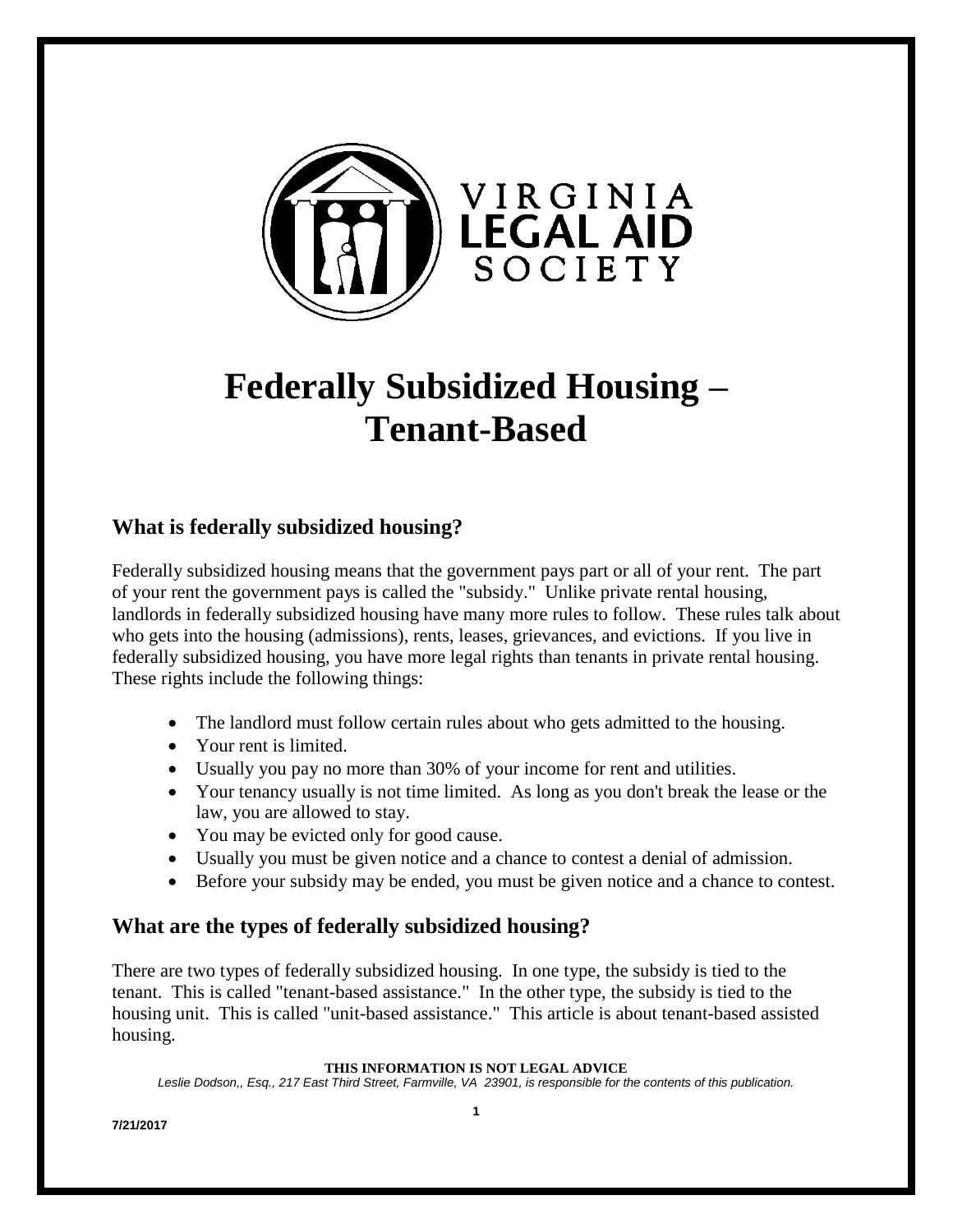

# **Federally Subsidized Housing – Tenant-Based**

### **What is federally subsidized housing?**

Federally subsidized housing means that the government pays part or all of your rent. The part of your rent the government pays is called the "subsidy." Unlike private rental housing, landlords in federally subsidized housing have many more rules to follow. These rules talk about who gets into the housing (admissions), rents, leases, grievances, and evictions. If you live in federally subsidized housing, you have more legal rights than tenants in private rental housing. These rights include the following things:

- The landlord must follow certain rules about who gets admitted to the housing.
- Your rent is limited.
- Usually you pay no more than 30% of your income for rent and utilities.
- Your tenancy usually is not time limited. As long as you don't break the lease or the law, you are allowed to stay.
- You may be evicted only for good cause.
- Usually you must be given notice and a chance to contest a denial of admission.
- Before your subsidy may be ended, you must be given notice and a chance to contest.

### **What are the types of federally subsidized housing?**

There are two types of federally subsidized housing. In one type, the subsidy is tied to the tenant. This is called "tenant-based assistance." In the other type, the subsidy is tied to the housing unit. This is called "unit-based assistance." This article is about tenant-based assisted housing.

#### **THIS INFORMATION IS NOT LEGAL ADVICE**

*Leslie Dodson,, Esq., 217 East Third Street, Farmville, VA 23901, is responsible for the contents of this publication.*

**7/21/2017**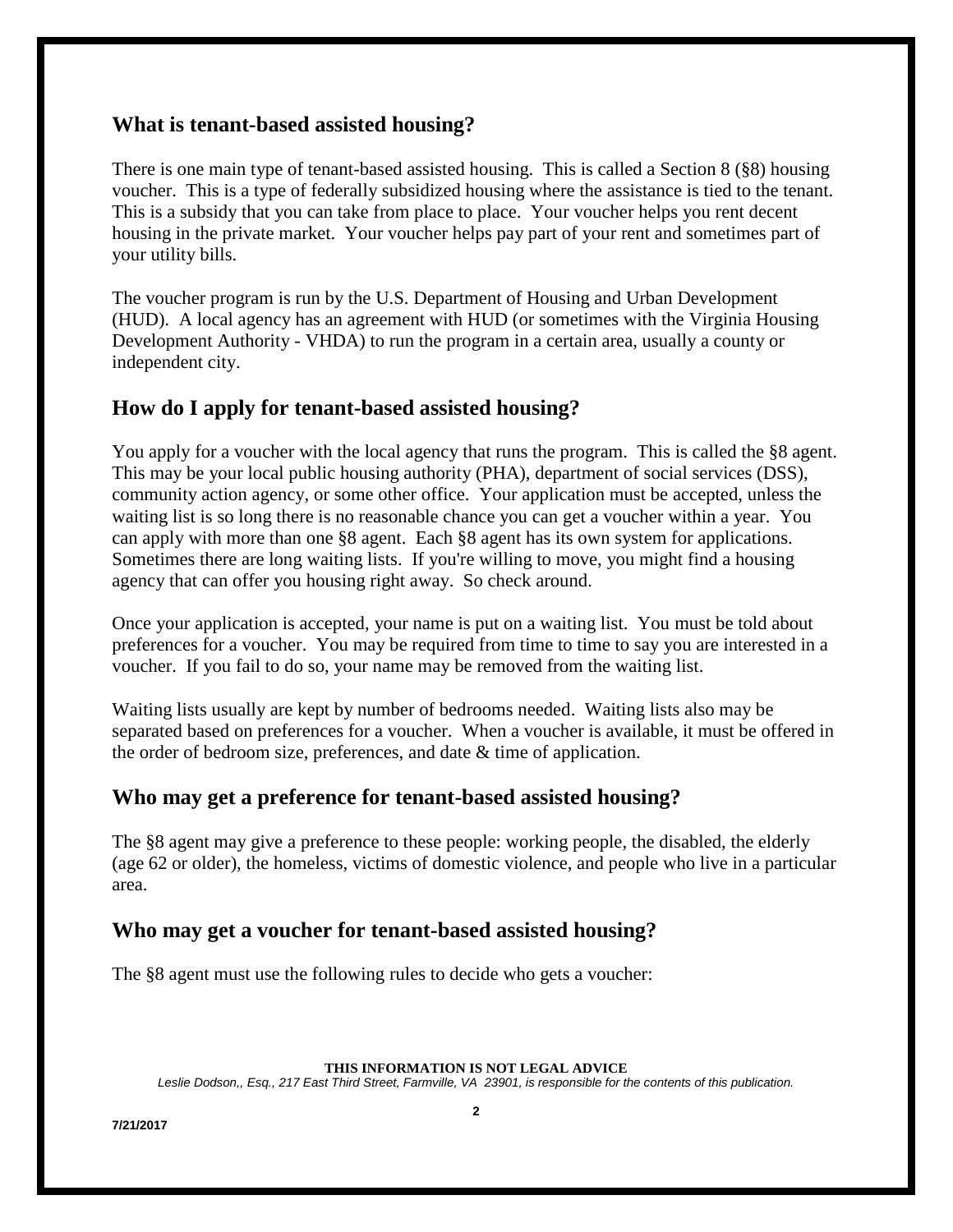### **What is tenant-based assisted housing?**

There is one main type of tenant-based assisted housing. This is called a Section 8 (§8) housing voucher. This is a type of federally subsidized housing where the assistance is tied to the tenant. This is a subsidy that you can take from place to place. Your voucher helps you rent decent housing in the private market. Your voucher helps pay part of your rent and sometimes part of your utility bills.

The voucher program is run by the U.S. Department of Housing and Urban Development (HUD). A local agency has an agreement with HUD (or sometimes with the Virginia Housing Development Authority - VHDA) to run the program in a certain area, usually a county or independent city.

### **How do I apply for tenant-based assisted housing?**

You apply for a voucher with the local agency that runs the program. This is called the §8 agent. This may be your local public housing authority (PHA), department of social services (DSS), community action agency, or some other office. Your application must be accepted, unless the waiting list is so long there is no reasonable chance you can get a voucher within a year. You can apply with more than one §8 agent. Each §8 agent has its own system for applications. Sometimes there are long waiting lists. If you're willing to move, you might find a housing agency that can offer you housing right away. So check around.

Once your application is accepted, your name is put on a waiting list. You must be told about preferences for a voucher. You may be required from time to time to say you are interested in a voucher. If you fail to do so, your name may be removed from the waiting list.

Waiting lists usually are kept by number of bedrooms needed. Waiting lists also may be separated based on preferences for a voucher. When a voucher is available, it must be offered in the order of bedroom size, preferences, and date & time of application.

### **Who may get a preference for tenant-based assisted housing?**

The §8 agent may give a preference to these people: working people, the disabled, the elderly (age 62 or older), the homeless, victims of domestic violence, and people who live in a particular area.

#### **Who may get a voucher for tenant-based assisted housing?**

The §8 agent must use the following rules to decide who gets a voucher:

#### **THIS INFORMATION IS NOT LEGAL ADVICE**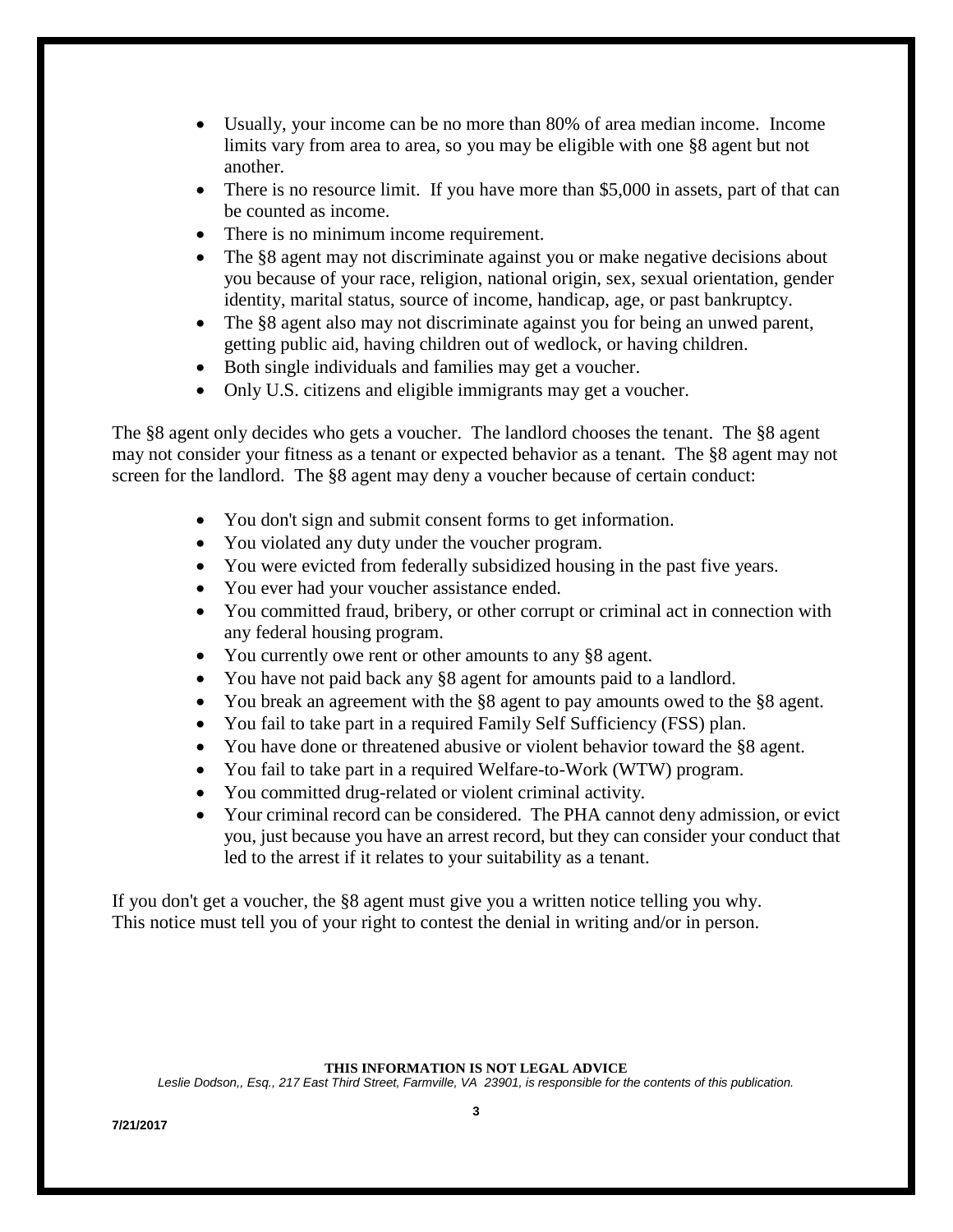- Usually, your income can be no more than 80% of area median income. Income limits vary from area to area, so you may be eligible with one §8 agent but not another.
- There is no resource limit. If you have more than \$5,000 in assets, part of that can be counted as income.
- There is no minimum income requirement.
- The §8 agent may not discriminate against you or make negative decisions about you because of your race, religion, national origin, sex, sexual orientation, gender identity, marital status, source of income, handicap, age, or past bankruptcy.
- The §8 agent also may not discriminate against you for being an unwed parent, getting public aid, having children out of wedlock, or having children.
- Both single individuals and families may get a voucher.
- Only U.S. citizens and eligible immigrants may get a voucher.

The §8 agent only decides who gets a voucher. The landlord chooses the tenant. The §8 agent may not consider your fitness as a tenant or expected behavior as a tenant. The §8 agent may not screen for the landlord. The §8 agent may deny a voucher because of certain conduct:

- You don't sign and submit consent forms to get information.
- You violated any duty under the voucher program.
- You were evicted from federally subsidized housing in the past five years.
- You ever had your voucher assistance ended.
- You committed fraud, bribery, or other corrupt or criminal act in connection with any federal housing program.
- You currently owe rent or other amounts to any §8 agent.
- You have not paid back any §8 agent for amounts paid to a landlord.
- You break an agreement with the §8 agent to pay amounts owed to the §8 agent.
- You fail to take part in a required Family Self Sufficiency (FSS) plan.
- You have done or threatened abusive or violent behavior toward the §8 agent.
- You fail to take part in a required Welfare-to-Work (WTW) program.
- You committed drug-related or violent criminal activity.
- Your criminal record can be considered. The PHA cannot deny admission, or evict you, just because you have an arrest record, but they can consider your conduct that led to the arrest if it relates to your suitability as a tenant.

If you don't get a voucher, the §8 agent must give you a written notice telling you why. This notice must tell you of your right to contest the denial in writing and/or in person.

#### **THIS INFORMATION IS NOT LEGAL ADVICE**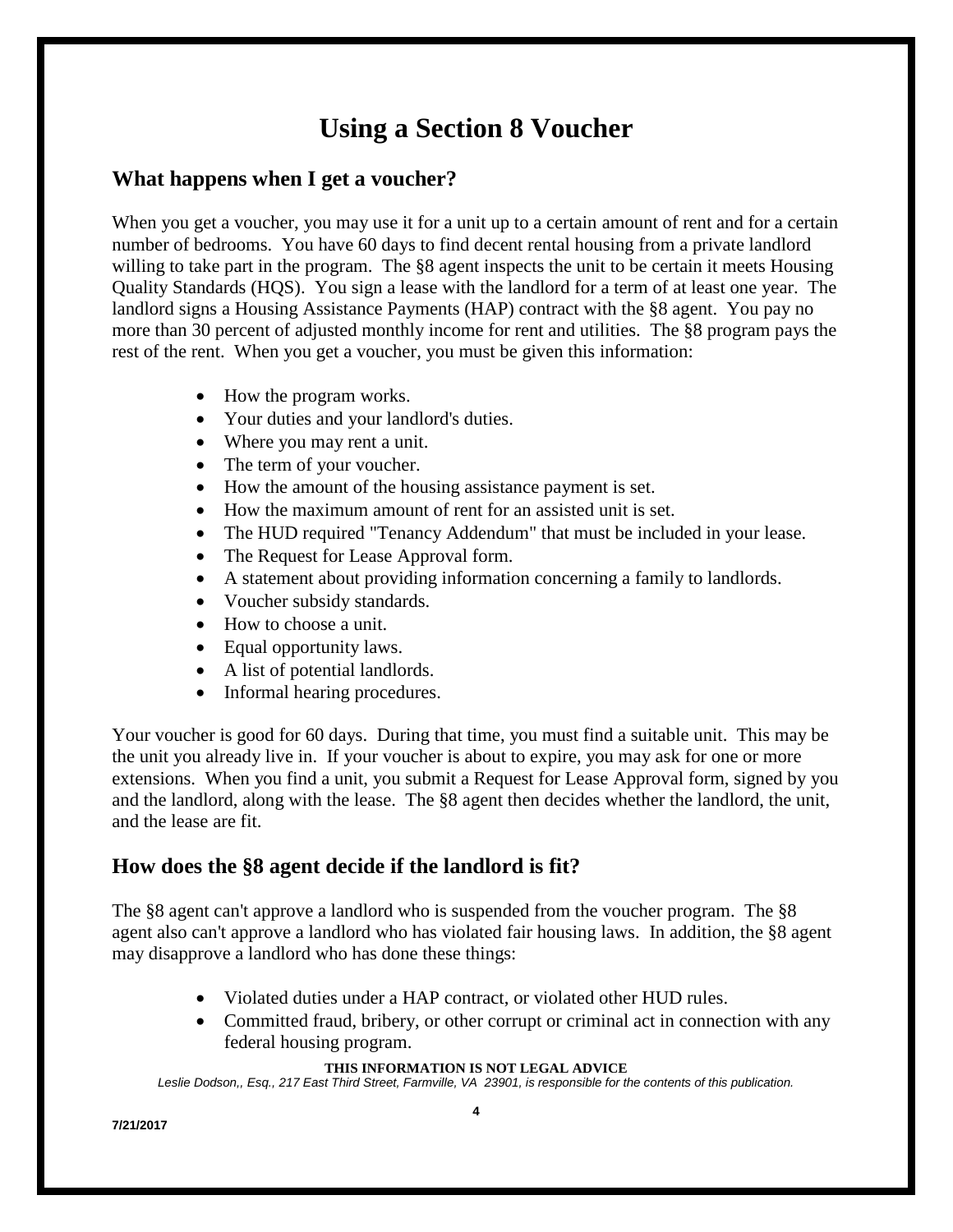# **Using a Section 8 Voucher**

### **What happens when I get a voucher?**

When you get a voucher, you may use it for a unit up to a certain amount of rent and for a certain number of bedrooms. You have 60 days to find decent rental housing from a private landlord willing to take part in the program. The §8 agent inspects the unit to be certain it meets Housing Quality Standards (HQS). You sign a lease with the landlord for a term of at least one year. The landlord signs a Housing Assistance Payments (HAP) contract with the §8 agent. You pay no more than 30 percent of adjusted monthly income for rent and utilities. The §8 program pays the rest of the rent. When you get a voucher, you must be given this information:

- How the program works.
- Your duties and your landlord's duties.
- Where you may rent a unit.
- The term of your voucher.
- How the amount of the housing assistance payment is set.
- How the maximum amount of rent for an assisted unit is set.
- The HUD required "Tenancy Addendum" that must be included in your lease.
- The Request for Lease Approval form.
- A statement about providing information concerning a family to landlords.
- Voucher subsidy standards.
- How to choose a unit.
- Equal opportunity laws.
- A list of potential landlords.
- Informal hearing procedures.

Your voucher is good for 60 days. During that time, you must find a suitable unit. This may be the unit you already live in. If your voucher is about to expire, you may ask for one or more extensions. When you find a unit, you submit a Request for Lease Approval form, signed by you and the landlord, along with the lease. The §8 agent then decides whether the landlord, the unit, and the lease are fit.

### **How does the §8 agent decide if the landlord is fit?**

The §8 agent can't approve a landlord who is suspended from the voucher program. The §8 agent also can't approve a landlord who has violated fair housing laws. In addition, the §8 agent may disapprove a landlord who has done these things:

- Violated duties under a HAP contract, or violated other HUD rules.
- Committed fraud, bribery, or other corrupt or criminal act in connection with any federal housing program.

#### **THIS INFORMATION IS NOT LEGAL ADVICE**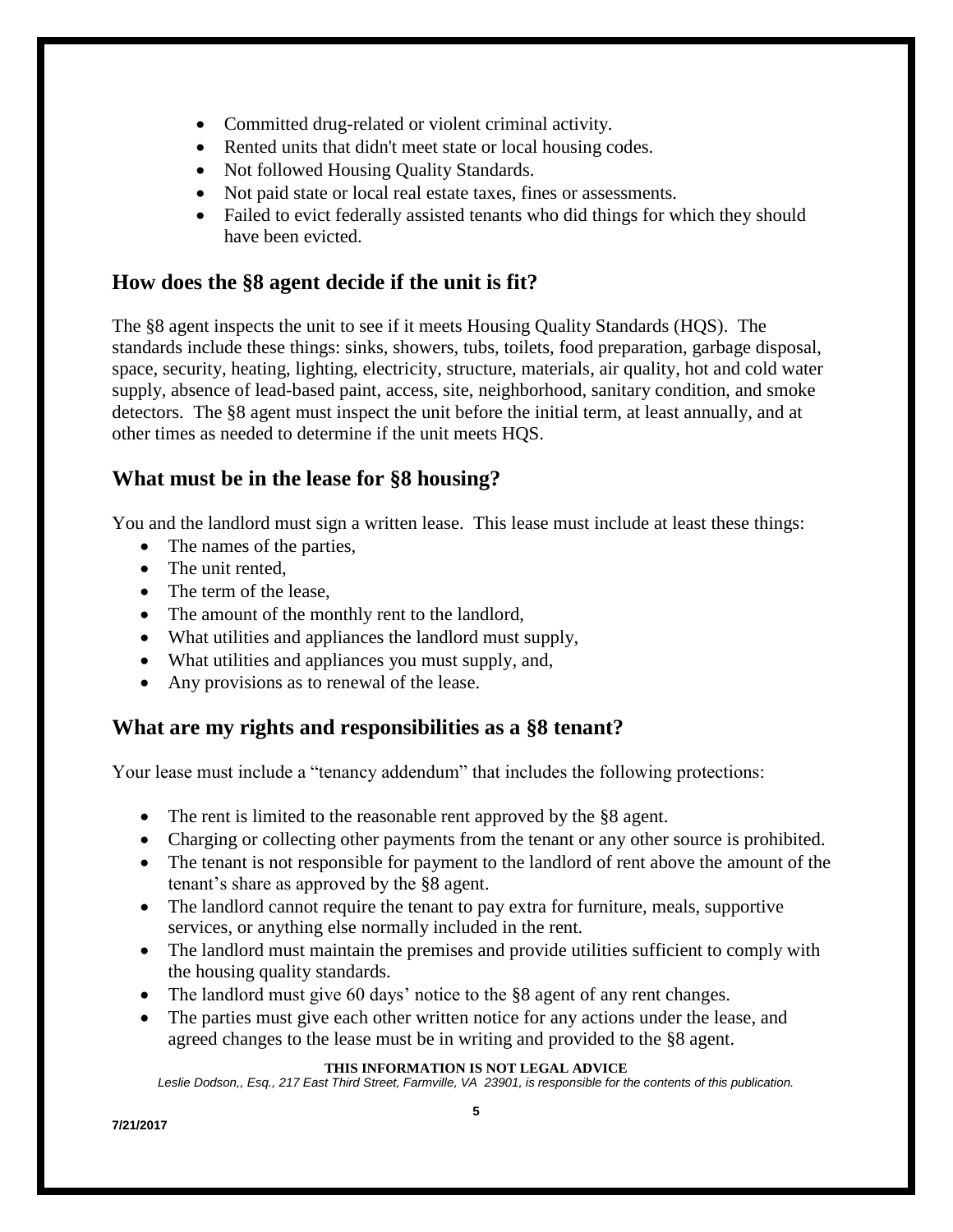- Committed drug-related or violent criminal activity.
- Rented units that didn't meet state or local housing codes.
- Not followed Housing Quality Standards.
- Not paid state or local real estate taxes, fines or assessments.
- Failed to evict federally assisted tenants who did things for which they should have been evicted.

### **How does the §8 agent decide if the unit is fit?**

The §8 agent inspects the unit to see if it meets Housing Quality Standards (HQS). The standards include these things: sinks, showers, tubs, toilets, food preparation, garbage disposal, space, security, heating, lighting, electricity, structure, materials, air quality, hot and cold water supply, absence of lead-based paint, access, site, neighborhood, sanitary condition, and smoke detectors. The §8 agent must inspect the unit before the initial term, at least annually, and at other times as needed to determine if the unit meets HQS.

### **What must be in the lease for §8 housing?**

You and the landlord must sign a written lease. This lease must include at least these things:

- The names of the parties,
- The unit rented,
- The term of the lease.
- The amount of the monthly rent to the landlord,
- What utilities and appliances the landlord must supply,
- What utilities and appliances you must supply, and,
- Any provisions as to renewal of the lease.

### **What are my rights and responsibilities as a §8 tenant?**

Your lease must include a "tenancy addendum" that includes the following protections:

- The rent is limited to the reasonable rent approved by the §8 agent.
- Charging or collecting other payments from the tenant or any other source is prohibited.
- The tenant is not responsible for payment to the landlord of rent above the amount of the tenant's share as approved by the §8 agent.
- The landlord cannot require the tenant to pay extra for furniture, meals, supportive services, or anything else normally included in the rent.
- The landlord must maintain the premises and provide utilities sufficient to comply with the housing quality standards.
- The landlord must give 60 days' notice to the §8 agent of any rent changes.
- The parties must give each other written notice for any actions under the lease, and agreed changes to the lease must be in writing and provided to the §8 agent.

#### **THIS INFORMATION IS NOT LEGAL ADVICE**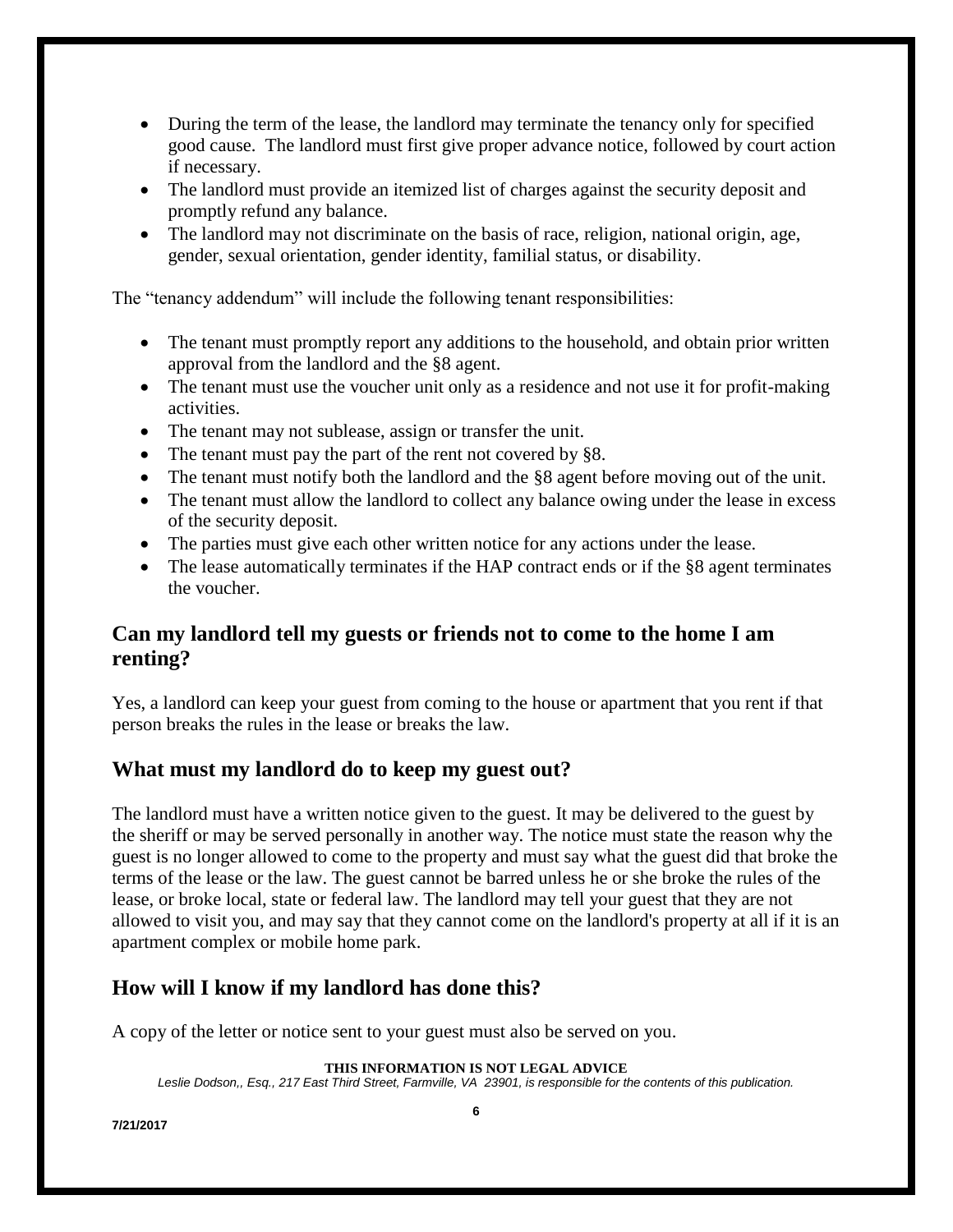- During the term of the lease, the landlord may terminate the tenancy only for specified good cause. The landlord must first give proper advance notice, followed by court action if necessary.
- The landlord must provide an itemized list of charges against the security deposit and promptly refund any balance.
- The landlord may not discriminate on the basis of race, religion, national origin, age, gender, sexual orientation, gender identity, familial status, or disability.

The "tenancy addendum" will include the following tenant responsibilities:

- The tenant must promptly report any additions to the household, and obtain prior written approval from the landlord and the §8 agent.
- The tenant must use the voucher unit only as a residence and not use it for profit-making activities.
- The tenant may not sublease, assign or transfer the unit.
- The tenant must pay the part of the rent not covered by §8.
- The tenant must notify both the landlord and the §8 agent before moving out of the unit.
- The tenant must allow the landlord to collect any balance owing under the lease in excess of the security deposit.
- The parties must give each other written notice for any actions under the lease.
- The lease automatically terminates if the HAP contract ends or if the §8 agent terminates the voucher.

### **Can my landlord tell my guests or friends not to come to the home I am renting?**

Yes, a landlord can keep your guest from coming to the house or apartment that you rent if that person breaks the rules in the lease or breaks the law.

#### **What must my landlord do to keep my guest out?**

The landlord must have a written notice given to the guest. It may be delivered to the guest by the sheriff or may be served personally in another way. The notice must state the reason why the guest is no longer allowed to come to the property and must say what the guest did that broke the terms of the lease or the law. The guest cannot be barred unless he or she broke the rules of the lease, or broke local, state or federal law. The landlord may tell your guest that they are not allowed to visit you, and may say that they cannot come on the landlord's property at all if it is an apartment complex or mobile home park.

### **How will I know if my landlord has done this?**

A copy of the letter or notice sent to your guest must also be served on you.

#### **THIS INFORMATION IS NOT LEGAL ADVICE**

*Leslie Dodson,, Esq., 217 East Third Street, Farmville, VA 23901, is responsible for the contents of this publication.*

**7/21/2017**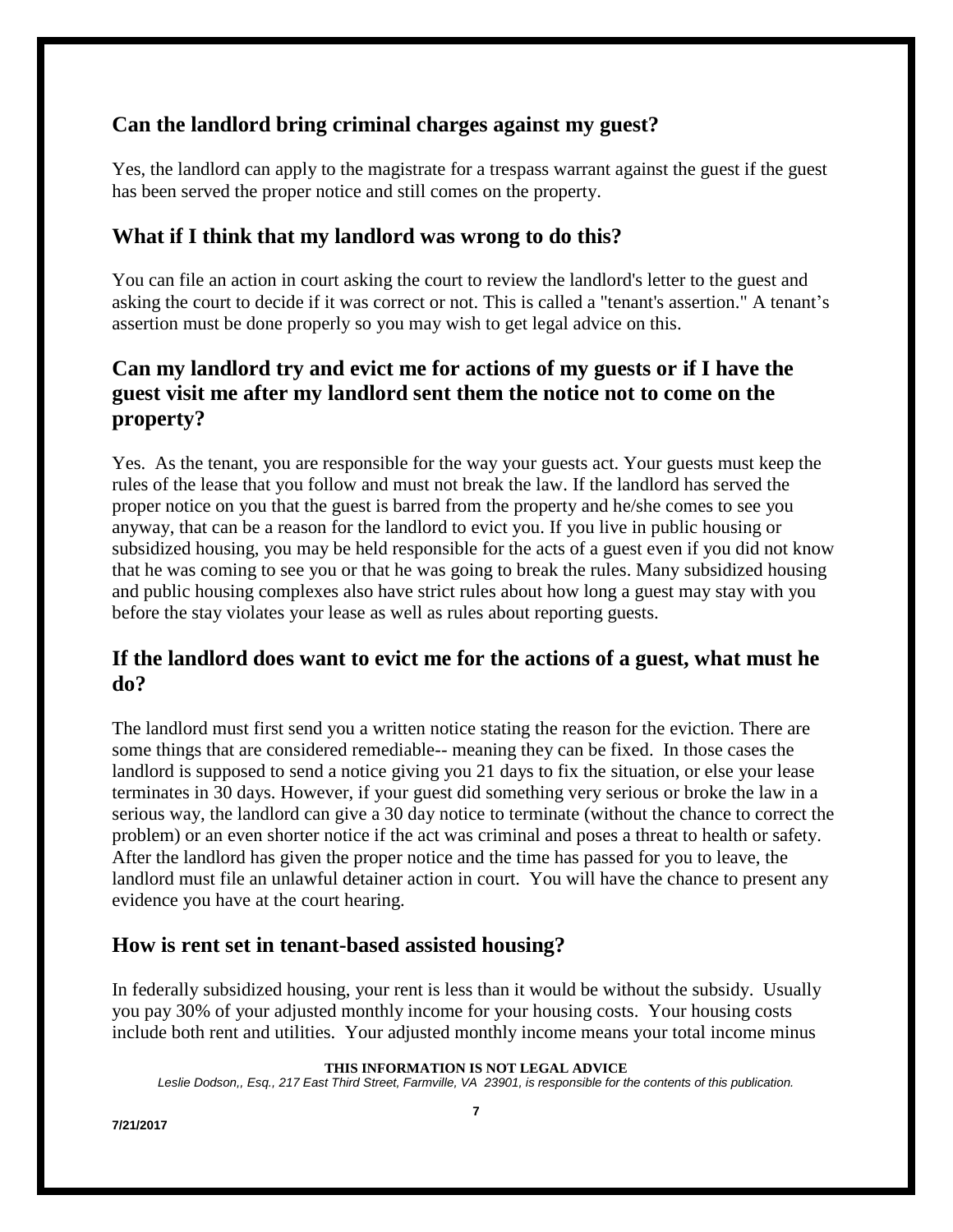### **Can the landlord bring criminal charges against my guest?**

Yes, the landlord can apply to the magistrate for a trespass warrant against the guest if the guest has been served the proper notice and still comes on the property.

### **What if I think that my landlord was wrong to do this?**

You can file an action in court asking the court to review the landlord's letter to the guest and asking the court to decide if it was correct or not. This is called a "tenant's assertion." A tenant's assertion must be done properly so you may wish to get legal advice on this.

### **Can my landlord try and evict me for actions of my guests or if I have the guest visit me after my landlord sent them the notice not to come on the property?**

Yes. As the tenant, you are responsible for the way your guests act. Your guests must keep the rules of the lease that you follow and must not break the law. If the landlord has served the proper notice on you that the guest is barred from the property and he/she comes to see you anyway, that can be a reason for the landlord to evict you. If you live in public housing or subsidized housing, you may be held responsible for the acts of a guest even if you did not know that he was coming to see you or that he was going to break the rules. Many subsidized housing and public housing complexes also have strict rules about how long a guest may stay with you before the stay violates your lease as well as rules about reporting guests.

### **If the landlord does want to evict me for the actions of a guest, what must he do?**

The landlord must first send you a written notice stating the reason for the eviction. There are some things that are considered remediable-- meaning they can be fixed. In those cases the landlord is supposed to send a notice giving you 21 days to fix the situation, or else your lease terminates in 30 days. However, if your guest did something very serious or broke the law in a serious way, the landlord can give a 30 day notice to terminate (without the chance to correct the problem) or an even shorter notice if the act was criminal and poses a threat to health or safety. After the landlord has given the proper notice and the time has passed for you to leave, the landlord must file an unlawful detainer action in court. You will have the chance to present any evidence you have at the court hearing.

#### **How is rent set in tenant-based assisted housing?**

In federally subsidized housing, your rent is less than it would be without the subsidy. Usually you pay 30% of your adjusted monthly income for your housing costs. Your housing costs include both rent and utilities. Your adjusted monthly income means your total income minus

**THIS INFORMATION IS NOT LEGAL ADVICE**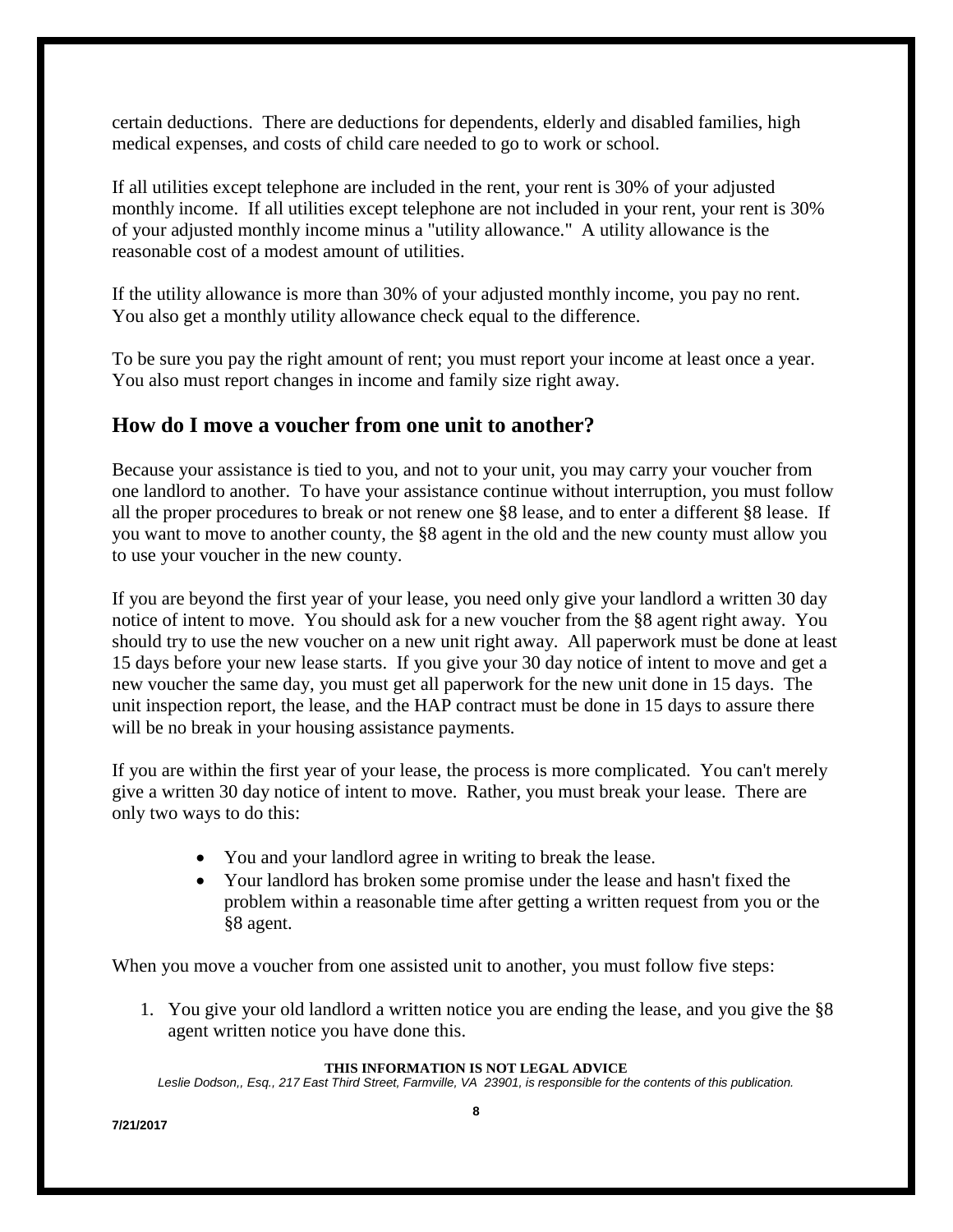certain deductions. There are deductions for dependents, elderly and disabled families, high medical expenses, and costs of child care needed to go to work or school.

If all utilities except telephone are included in the rent, your rent is 30% of your adjusted monthly income. If all utilities except telephone are not included in your rent, your rent is 30% of your adjusted monthly income minus a "utility allowance." A utility allowance is the reasonable cost of a modest amount of utilities.

If the utility allowance is more than 30% of your adjusted monthly income, you pay no rent. You also get a monthly utility allowance check equal to the difference.

To be sure you pay the right amount of rent; you must report your income at least once a year. You also must report changes in income and family size right away.

### **How do I move a voucher from one unit to another?**

Because your assistance is tied to you, and not to your unit, you may carry your voucher from one landlord to another. To have your assistance continue without interruption, you must follow all the proper procedures to break or not renew one §8 lease, and to enter a different §8 lease. If you want to move to another county, the §8 agent in the old and the new county must allow you to use your voucher in the new county.

If you are beyond the first year of your lease, you need only give your landlord a written 30 day notice of intent to move. You should ask for a new voucher from the §8 agent right away. You should try to use the new voucher on a new unit right away. All paperwork must be done at least 15 days before your new lease starts. If you give your 30 day notice of intent to move and get a new voucher the same day, you must get all paperwork for the new unit done in 15 days. The unit inspection report, the lease, and the HAP contract must be done in 15 days to assure there will be no break in your housing assistance payments.

If you are within the first year of your lease, the process is more complicated. You can't merely give a written 30 day notice of intent to move. Rather, you must break your lease. There are only two ways to do this:

- You and your landlord agree in writing to break the lease.
- Your landlord has broken some promise under the lease and hasn't fixed the problem within a reasonable time after getting a written request from you or the §8 agent.

When you move a voucher from one assisted unit to another, you must follow five steps:

1. You give your old landlord a written notice you are ending the lease, and you give the §8 agent written notice you have done this.

#### **THIS INFORMATION IS NOT LEGAL ADVICE**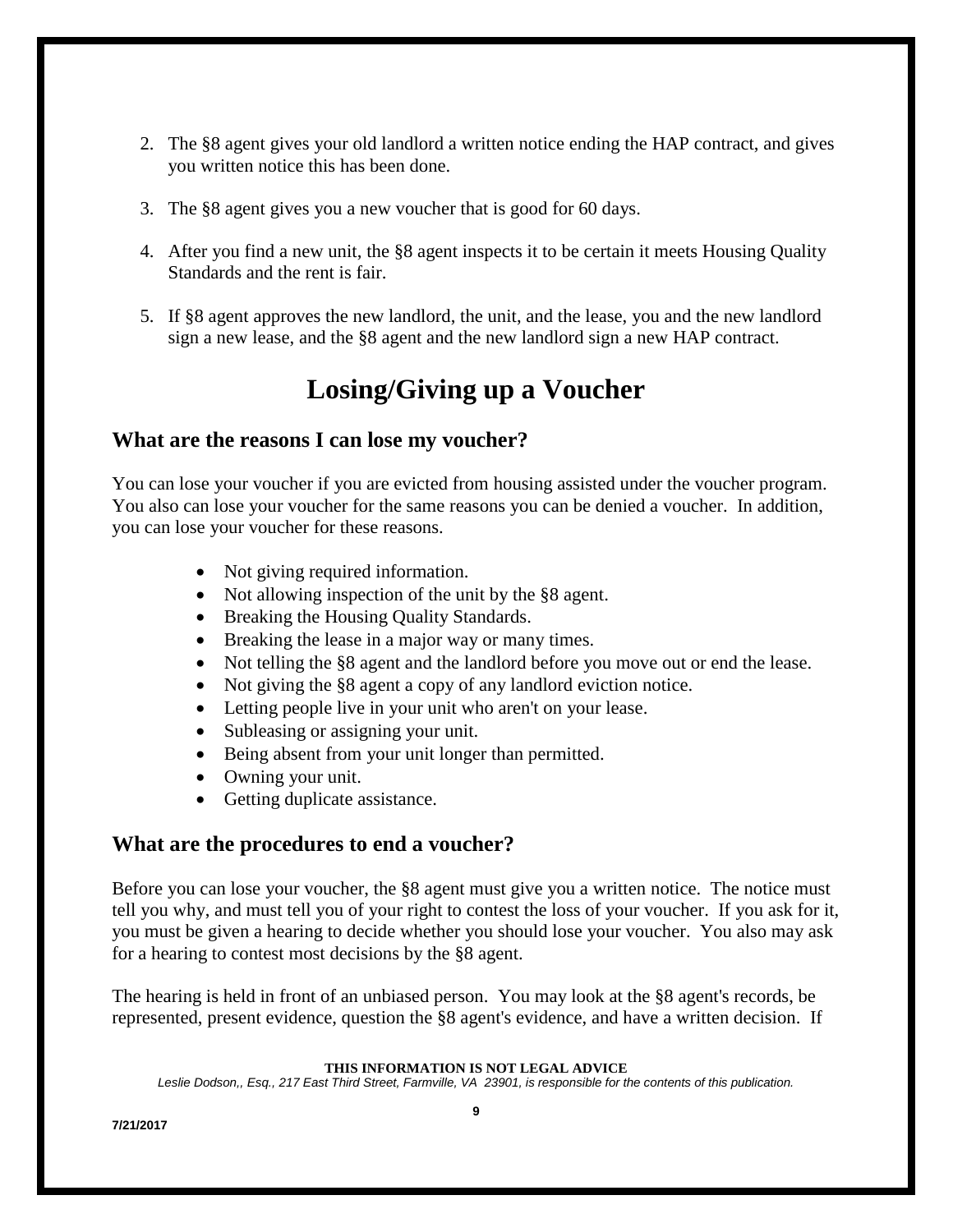- 2. The §8 agent gives your old landlord a written notice ending the HAP contract, and gives you written notice this has been done.
- 3. The §8 agent gives you a new voucher that is good for 60 days.
- 4. After you find a new unit, the §8 agent inspects it to be certain it meets Housing Quality Standards and the rent is fair.
- 5. If §8 agent approves the new landlord, the unit, and the lease, you and the new landlord sign a new lease, and the §8 agent and the new landlord sign a new HAP contract.

## **Losing/Giving up a Voucher**

#### **What are the reasons I can lose my voucher?**

You can lose your voucher if you are evicted from housing assisted under the voucher program. You also can lose your voucher for the same reasons you can be denied a voucher. In addition, you can lose your voucher for these reasons.

- Not giving required information.
- Not allowing inspection of the unit by the §8 agent.
- Breaking the Housing Quality Standards.
- Breaking the lease in a major way or many times.
- Not telling the §8 agent and the landlord before you move out or end the lease.
- Not giving the §8 agent a copy of any landlord eviction notice.
- Letting people live in your unit who aren't on your lease.
- Subleasing or assigning your unit.
- Being absent from your unit longer than permitted.
- Owning your unit.
- Getting duplicate assistance.

#### **What are the procedures to end a voucher?**

Before you can lose your voucher, the §8 agent must give you a written notice. The notice must tell you why, and must tell you of your right to contest the loss of your voucher. If you ask for it, you must be given a hearing to decide whether you should lose your voucher. You also may ask for a hearing to contest most decisions by the §8 agent.

The hearing is held in front of an unbiased person. You may look at the §8 agent's records, be represented, present evidence, question the §8 agent's evidence, and have a written decision. If

#### **THIS INFORMATION IS NOT LEGAL ADVICE**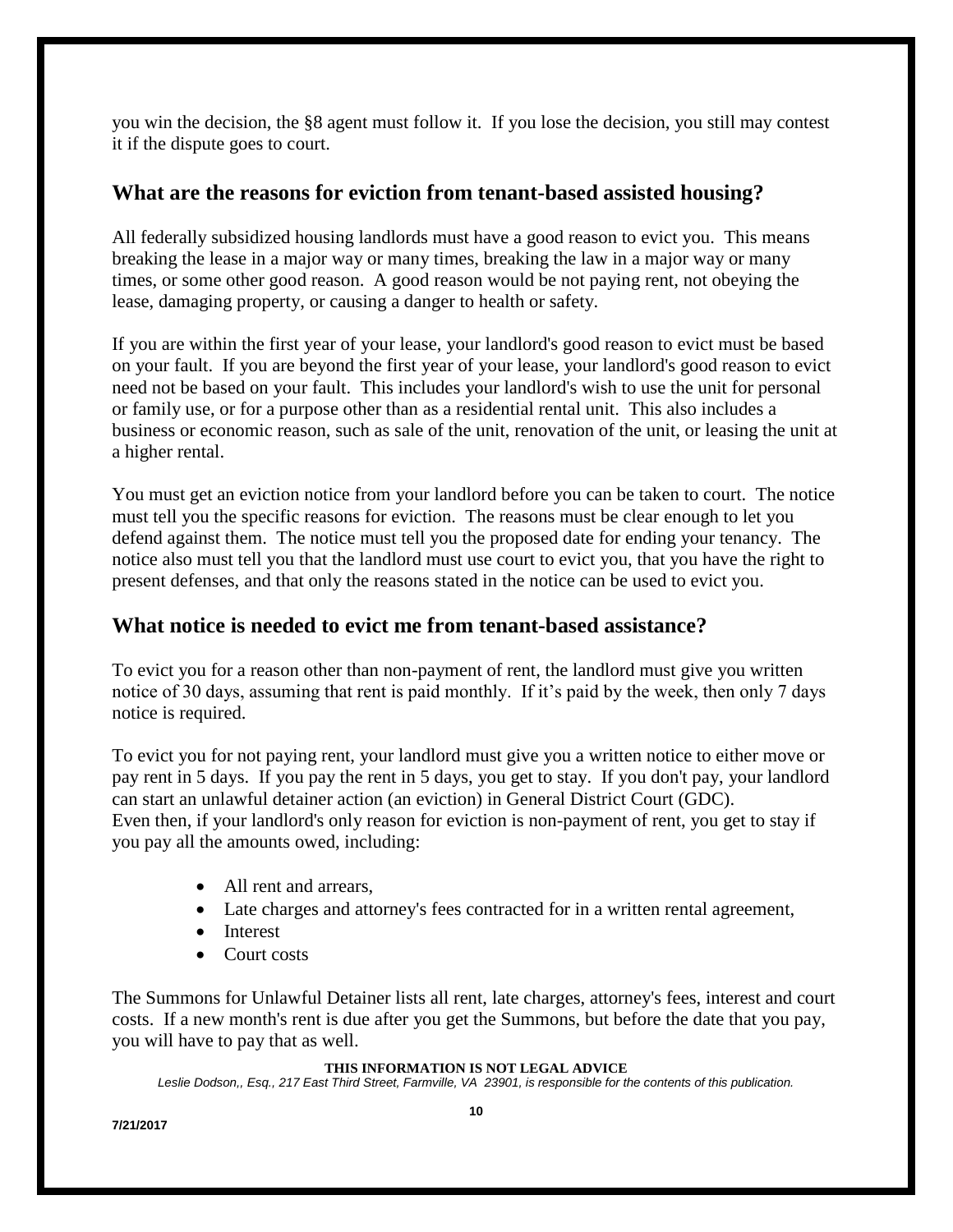you win the decision, the §8 agent must follow it. If you lose the decision, you still may contest it if the dispute goes to court.

#### **What are the reasons for eviction from tenant-based assisted housing?**

All federally subsidized housing landlords must have a good reason to evict you. This means breaking the lease in a major way or many times, breaking the law in a major way or many times, or some other good reason. A good reason would be not paying rent, not obeying the lease, damaging property, or causing a danger to health or safety.

If you are within the first year of your lease, your landlord's good reason to evict must be based on your fault. If you are beyond the first year of your lease, your landlord's good reason to evict need not be based on your fault. This includes your landlord's wish to use the unit for personal or family use, or for a purpose other than as a residential rental unit. This also includes a business or economic reason, such as sale of the unit, renovation of the unit, or leasing the unit at a higher rental.

You must get an eviction notice from your landlord before you can be taken to court. The notice must tell you the specific reasons for eviction. The reasons must be clear enough to let you defend against them. The notice must tell you the proposed date for ending your tenancy. The notice also must tell you that the landlord must use court to evict you, that you have the right to present defenses, and that only the reasons stated in the notice can be used to evict you.

#### **What notice is needed to evict me from tenant-based assistance?**

To evict you for a reason other than non-payment of rent, the landlord must give you written notice of 30 days, assuming that rent is paid monthly. If it's paid by the week, then only 7 days notice is required.

To evict you for not paying rent, your landlord must give you a written notice to either move or pay rent in 5 days. If you pay the rent in 5 days, you get to stay. If you don't pay, your landlord can start an unlawful detainer action (an eviction) in General District Court (GDC). Even then, if your landlord's only reason for eviction is non-payment of rent, you get to stay if you pay all the amounts owed, including:

- All rent and arrears.
- Late charges and attorney's fees contracted for in a written rental agreement,
- Interest
- Court costs

The Summons for Unlawful Detainer lists all rent, late charges, attorney's fees, interest and court costs. If a new month's rent is due after you get the Summons, but before the date that you pay, you will have to pay that as well.

#### **THIS INFORMATION IS NOT LEGAL ADVICE**

*Leslie Dodson,, Esq., 217 East Third Street, Farmville, VA 23901, is responsible for the contents of this publication.*

**7/21/2017**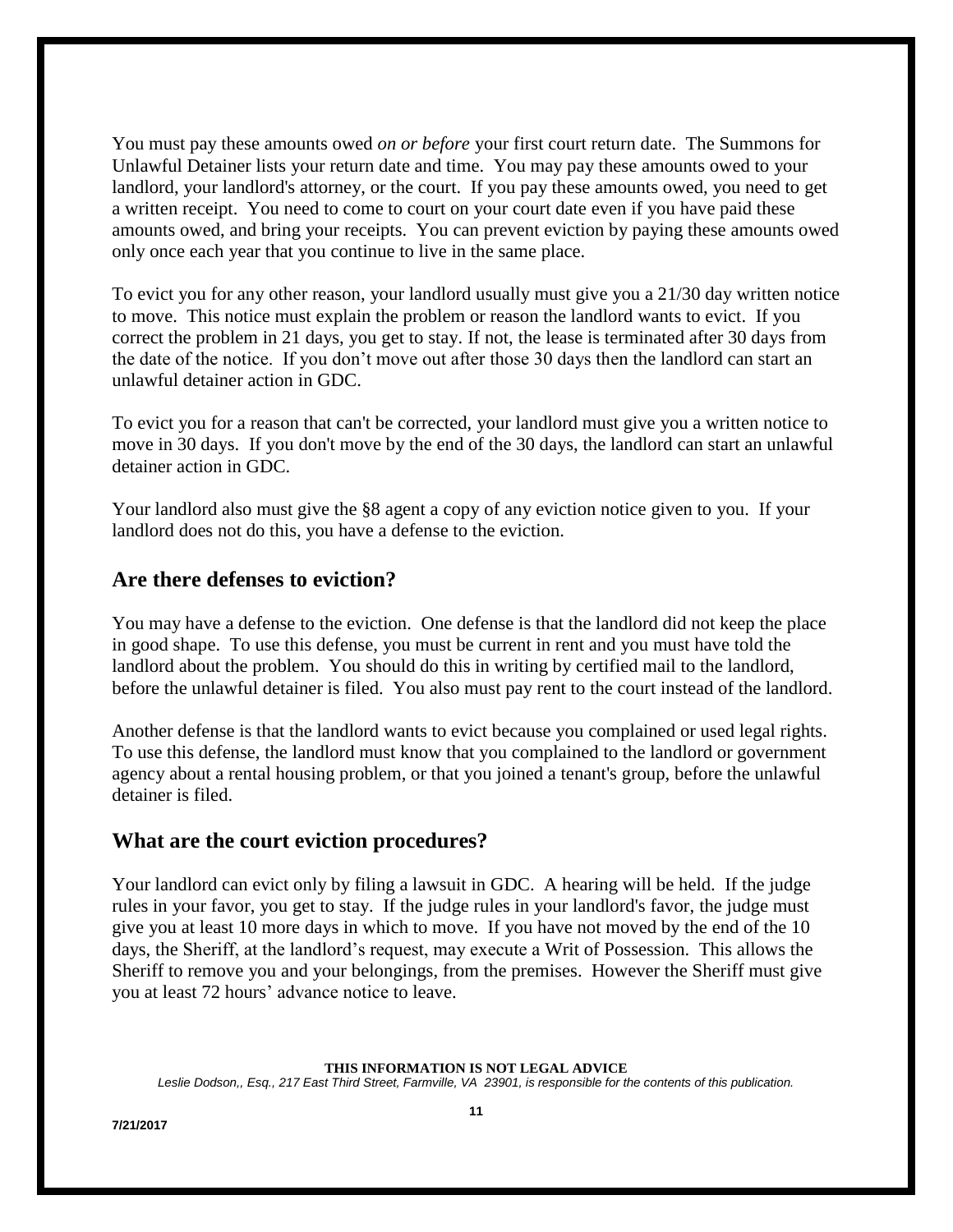You must pay these amounts owed *on or before* your first court return date. The Summons for Unlawful Detainer lists your return date and time. You may pay these amounts owed to your landlord, your landlord's attorney, or the court. If you pay these amounts owed, you need to get a written receipt. You need to come to court on your court date even if you have paid these amounts owed, and bring your receipts. You can prevent eviction by paying these amounts owed only once each year that you continue to live in the same place.

To evict you for any other reason, your landlord usually must give you a 21/30 day written notice to move. This notice must explain the problem or reason the landlord wants to evict. If you correct the problem in 21 days, you get to stay. If not, the lease is terminated after 30 days from the date of the notice. If you don't move out after those 30 days then the landlord can start an unlawful detainer action in GDC.

To evict you for a reason that can't be corrected, your landlord must give you a written notice to move in 30 days. If you don't move by the end of the 30 days, the landlord can start an unlawful detainer action in GDC.

Your landlord also must give the §8 agent a copy of any eviction notice given to you. If your landlord does not do this, you have a defense to the eviction.

#### **Are there defenses to eviction?**

You may have a defense to the eviction. One defense is that the landlord did not keep the place in good shape. To use this defense, you must be current in rent and you must have told the landlord about the problem. You should do this in writing by certified mail to the landlord, before the unlawful detainer is filed. You also must pay rent to the court instead of the landlord.

Another defense is that the landlord wants to evict because you complained or used legal rights. To use this defense, the landlord must know that you complained to the landlord or government agency about a rental housing problem, or that you joined a tenant's group, before the unlawful detainer is filed.

#### **What are the court eviction procedures?**

Your landlord can evict only by filing a lawsuit in GDC. A hearing will be held. If the judge rules in your favor, you get to stay. If the judge rules in your landlord's favor, the judge must give you at least 10 more days in which to move. If you have not moved by the end of the 10 days, the Sheriff, at the landlord's request, may execute a Writ of Possession. This allows the Sheriff to remove you and your belongings, from the premises. However the Sheriff must give you at least 72 hours' advance notice to leave.

#### **THIS INFORMATION IS NOT LEGAL ADVICE**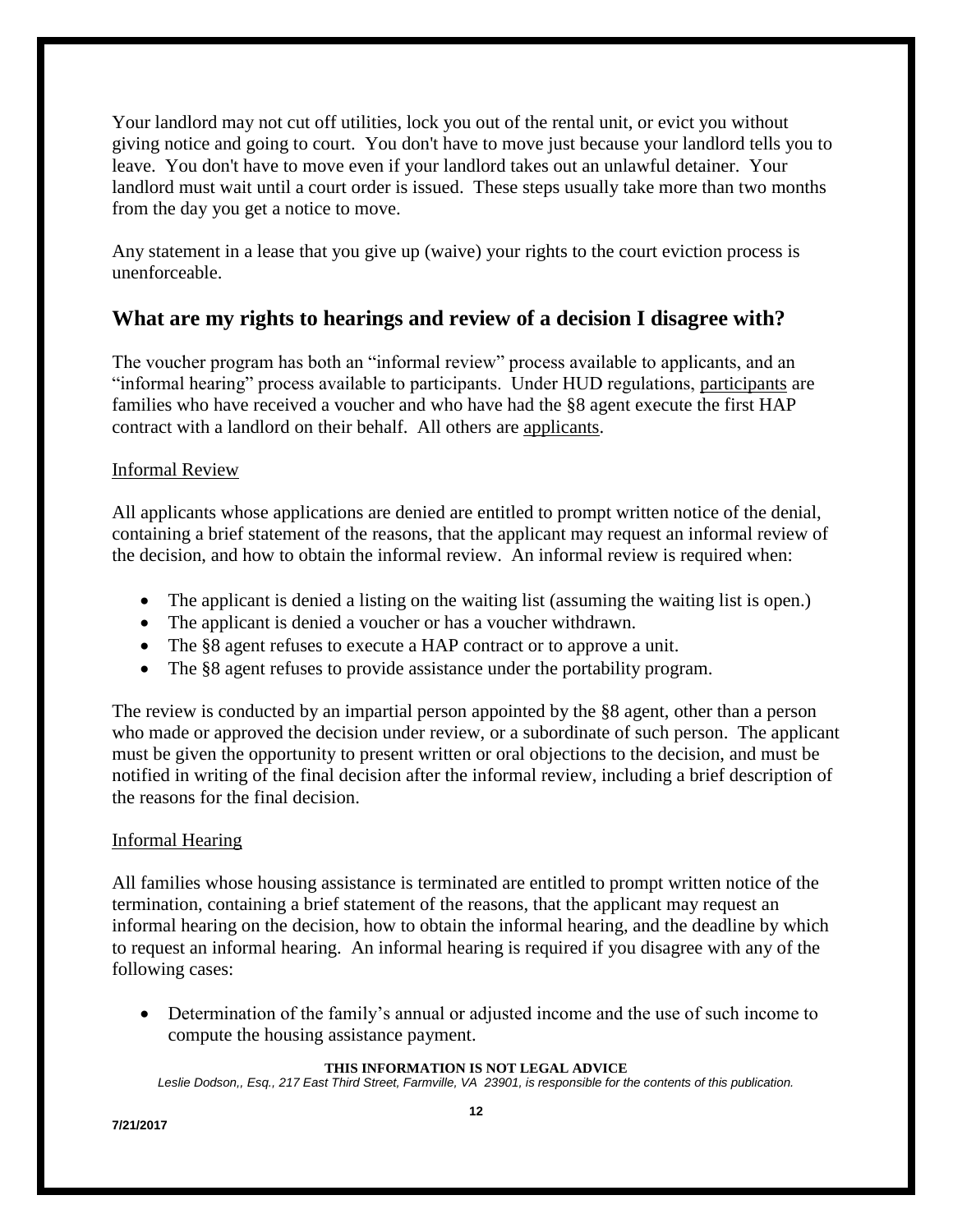Your landlord may not cut off utilities, lock you out of the rental unit, or evict you without giving notice and going to court. You don't have to move just because your landlord tells you to leave. You don't have to move even if your landlord takes out an unlawful detainer. Your landlord must wait until a court order is issued. These steps usually take more than two months from the day you get a notice to move.

Any statement in a lease that you give up (waive) your rights to the court eviction process is unenforceable.

### **What are my rights to hearings and review of a decision I disagree with?**

The voucher program has both an "informal review" process available to applicants, and an "informal hearing" process available to participants. Under HUD regulations, participants are families who have received a voucher and who have had the §8 agent execute the first HAP contract with a landlord on their behalf. All others are applicants.

#### Informal Review

All applicants whose applications are denied are entitled to prompt written notice of the denial, containing a brief statement of the reasons, that the applicant may request an informal review of the decision, and how to obtain the informal review. An informal review is required when:

- The applicant is denied a listing on the waiting list (assuming the waiting list is open.)
- The applicant is denied a voucher or has a voucher withdrawn.
- The §8 agent refuses to execute a HAP contract or to approve a unit.
- The §8 agent refuses to provide assistance under the portability program.

The review is conducted by an impartial person appointed by the §8 agent, other than a person who made or approved the decision under review, or a subordinate of such person. The applicant must be given the opportunity to present written or oral objections to the decision, and must be notified in writing of the final decision after the informal review, including a brief description of the reasons for the final decision.

#### Informal Hearing

All families whose housing assistance is terminated are entitled to prompt written notice of the termination, containing a brief statement of the reasons, that the applicant may request an informal hearing on the decision, how to obtain the informal hearing, and the deadline by which to request an informal hearing. An informal hearing is required if you disagree with any of the following cases:

 Determination of the family's annual or adjusted income and the use of such income to compute the housing assistance payment.

#### **THIS INFORMATION IS NOT LEGAL ADVICE**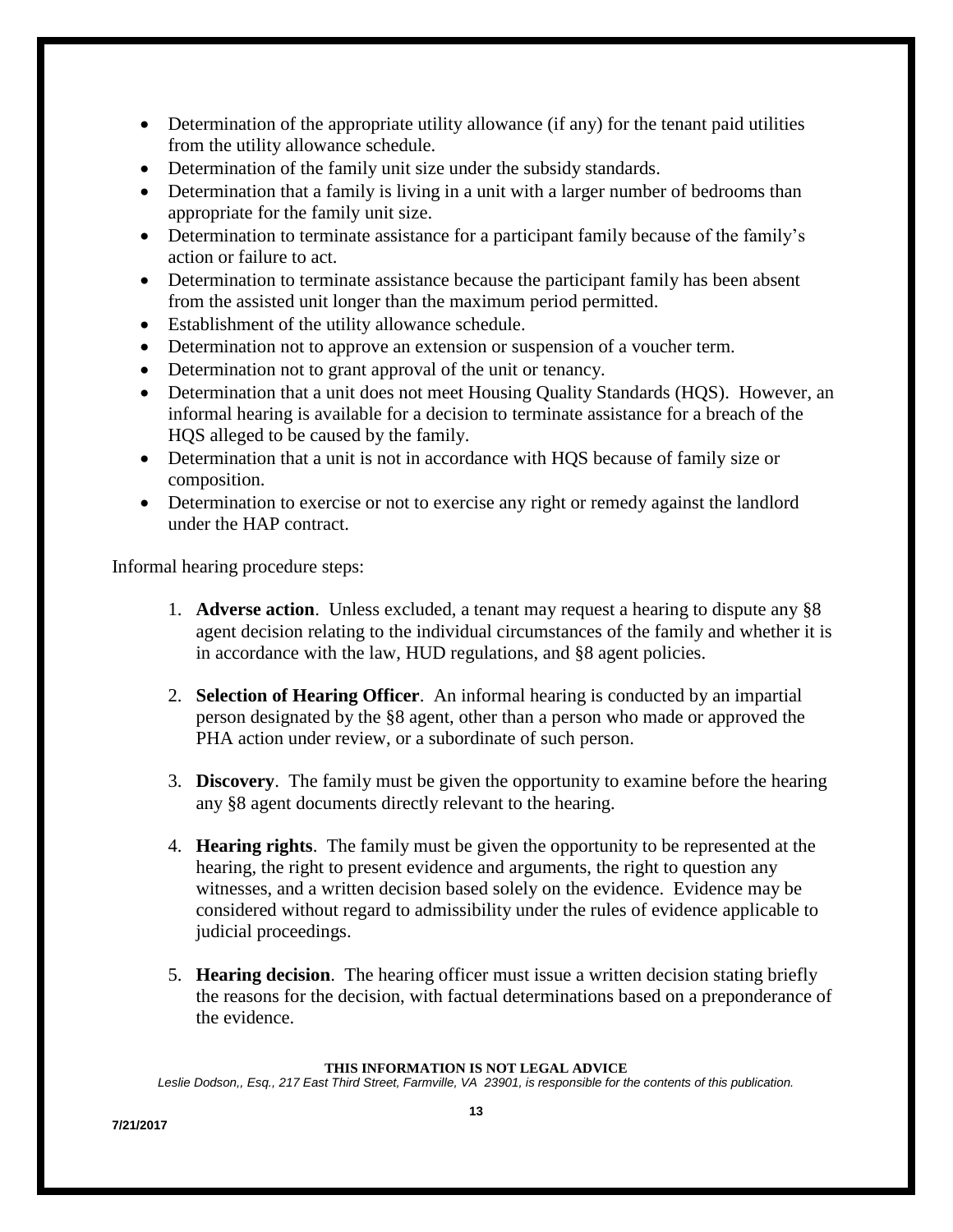- Determination of the appropriate utility allowance (if any) for the tenant paid utilities from the utility allowance schedule.
- Determination of the family unit size under the subsidy standards.
- Determination that a family is living in a unit with a larger number of bedrooms than appropriate for the family unit size.
- Determination to terminate assistance for a participant family because of the family's action or failure to act.
- Determination to terminate assistance because the participant family has been absent from the assisted unit longer than the maximum period permitted.
- Establishment of the utility allowance schedule.
- Determination not to approve an extension or suspension of a voucher term.
- Determination not to grant approval of the unit or tenancy.
- Determination that a unit does not meet Housing Quality Standards (HQS). However, an informal hearing is available for a decision to terminate assistance for a breach of the HQS alleged to be caused by the family.
- Determination that a unit is not in accordance with HQS because of family size or composition.
- Determination to exercise or not to exercise any right or remedy against the landlord under the HAP contract.

Informal hearing procedure steps:

- 1. **Adverse action**. Unless excluded, a tenant may request a hearing to dispute any §8 agent decision relating to the individual circumstances of the family and whether it is in accordance with the law, HUD regulations, and §8 agent policies.
- 2. **Selection of Hearing Officer**. An informal hearing is conducted by an impartial person designated by the §8 agent, other than a person who made or approved the PHA action under review, or a subordinate of such person.
- 3. **Discovery**. The family must be given the opportunity to examine before the hearing any §8 agent documents directly relevant to the hearing.
- 4. **Hearing rights**. The family must be given the opportunity to be represented at the hearing, the right to present evidence and arguments, the right to question any witnesses, and a written decision based solely on the evidence. Evidence may be considered without regard to admissibility under the rules of evidence applicable to judicial proceedings.
- 5. **Hearing decision**. The hearing officer must issue a written decision stating briefly the reasons for the decision, with factual determinations based on a preponderance of the evidence.

#### **THIS INFORMATION IS NOT LEGAL ADVICE**